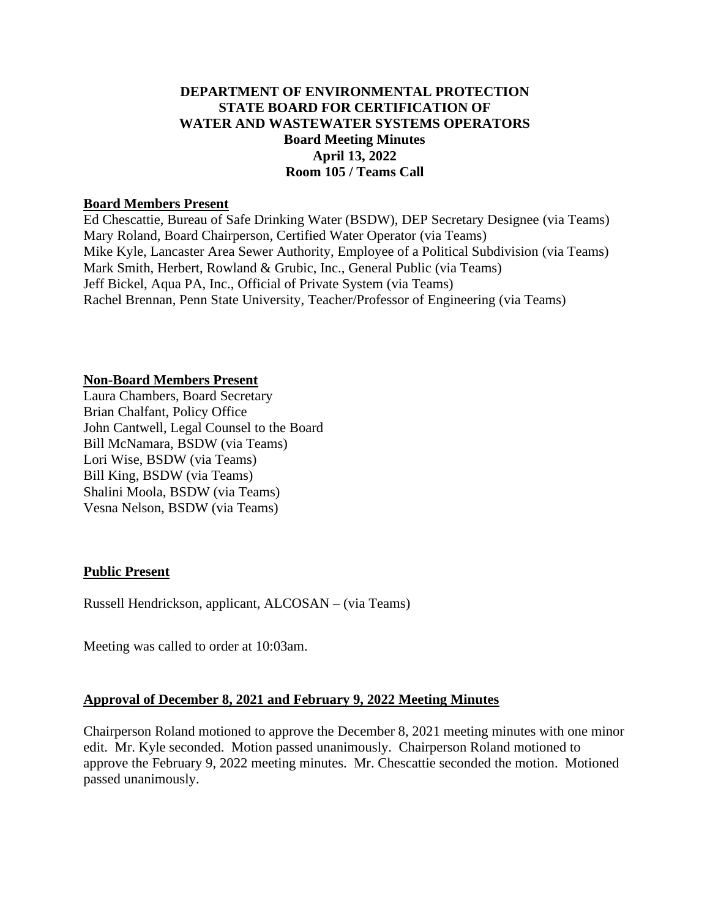# **DEPARTMENT OF ENVIRONMENTAL PROTECTION STATE BOARD FOR CERTIFICATION OF WATER AND WASTEWATER SYSTEMS OPERATORS Board Meeting Minutes April 13, 2022 Room 105 / Teams Call**

#### **Board Members Present**

Ed Chescattie, Bureau of Safe Drinking Water (BSDW), DEP Secretary Designee (via Teams) Mary Roland, Board Chairperson, Certified Water Operator (via Teams) Mike Kyle, Lancaster Area Sewer Authority, Employee of a Political Subdivision (via Teams) Mark Smith, Herbert, Rowland & Grubic, Inc., General Public (via Teams) Jeff Bickel, Aqua PA, Inc., Official of Private System (via Teams) Rachel Brennan, Penn State University, Teacher/Professor of Engineering (via Teams)

#### **Non-Board Members Present**

Laura Chambers, Board Secretary Brian Chalfant, Policy Office John Cantwell, Legal Counsel to the Board Bill McNamara, BSDW (via Teams) Lori Wise, BSDW (via Teams) Bill King, BSDW (via Teams) Shalini Moola, BSDW (via Teams) Vesna Nelson, BSDW (via Teams)

### **Public Present**

Russell Hendrickson, applicant, ALCOSAN – (via Teams)

Meeting was called to order at 10:03am.

### **Approval of December 8, 2021 and February 9, 2022 Meeting Minutes**

Chairperson Roland motioned to approve the December 8, 2021 meeting minutes with one minor edit. Mr. Kyle seconded. Motion passed unanimously. Chairperson Roland motioned to approve the February 9, 2022 meeting minutes. Mr. Chescattie seconded the motion. Motioned passed unanimously.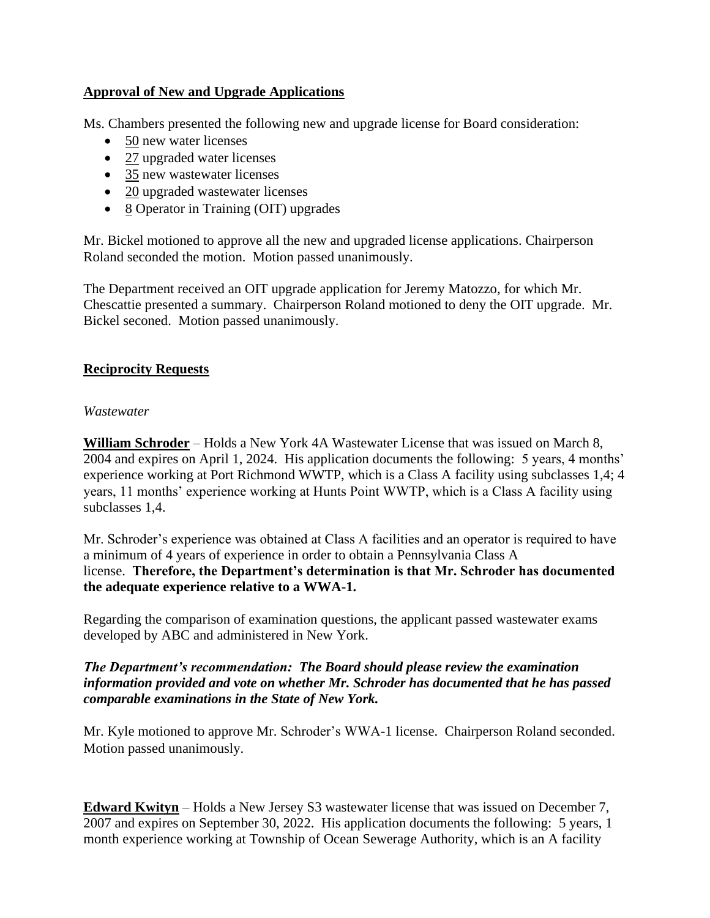# **Approval of New and Upgrade Applications**

Ms. Chambers presented the following new and upgrade license for Board consideration:

- 50 new water licenses
- 27 upgraded water licenses
- 35 new wastewater licenses
- 20 upgraded wastewater licenses
- 8 Operator in Training (OIT) upgrades

Mr. Bickel motioned to approve all the new and upgraded license applications. Chairperson Roland seconded the motion. Motion passed unanimously.

The Department received an OIT upgrade application for Jeremy Matozzo, for which Mr. Chescattie presented a summary. Chairperson Roland motioned to deny the OIT upgrade. Mr. Bickel seconed. Motion passed unanimously.

# **Reciprocity Requests**

### *Wastewater*

**William Schroder** – Holds a New York 4A Wastewater License that was issued on March 8, 2004 and expires on April 1, 2024. His application documents the following: 5 years, 4 months' experience working at Port Richmond WWTP, which is a Class A facility using subclasses 1,4; 4 years, 11 months' experience working at Hunts Point WWTP, which is a Class A facility using subclasses 1,4.

Mr. Schroder's experience was obtained at Class A facilities and an operator is required to have a minimum of 4 years of experience in order to obtain a Pennsylvania Class A license. **Therefore, the Department's determination is that Mr. Schroder has documented the adequate experience relative to a WWA-1.**

Regarding the comparison of examination questions, the applicant passed wastewater exams developed by ABC and administered in New York.

### *The Department's recommendation: The Board should please review the examination information provided and vote on whether Mr. Schroder has documented that he has passed comparable examinations in the State of New York.*

Mr. Kyle motioned to approve Mr. Schroder's WWA-1 license. Chairperson Roland seconded. Motion passed unanimously.

**Edward Kwityn** – Holds a New Jersey S3 wastewater license that was issued on December 7, 2007 and expires on September 30, 2022. His application documents the following: 5 years, 1 month experience working at Township of Ocean Sewerage Authority, which is an A facility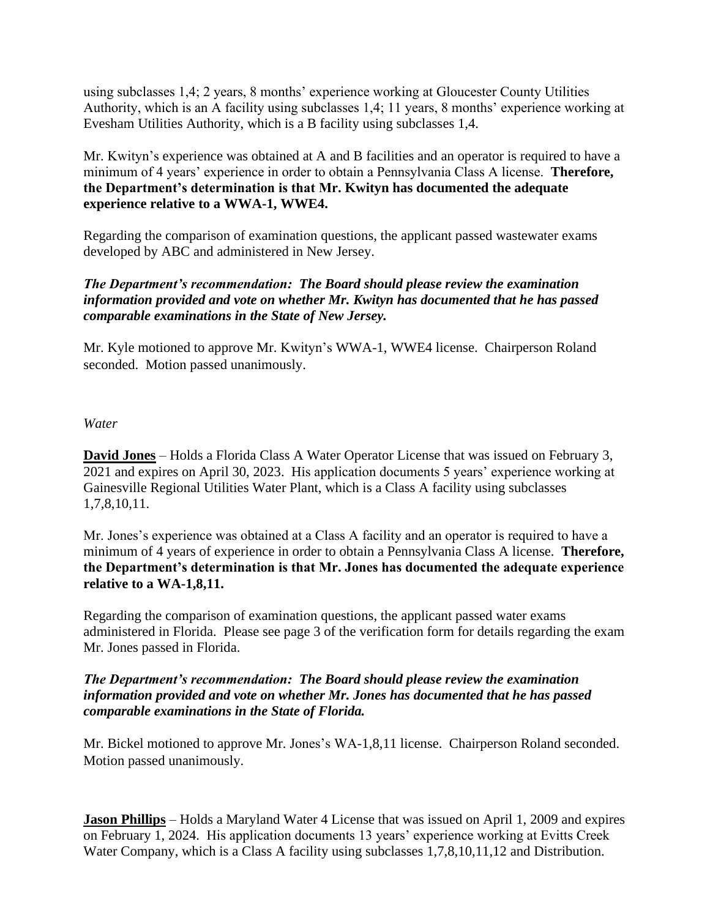using subclasses 1,4; 2 years, 8 months' experience working at Gloucester County Utilities Authority, which is an A facility using subclasses 1,4; 11 years, 8 months' experience working at Evesham Utilities Authority, which is a B facility using subclasses 1,4.

Mr. Kwityn's experience was obtained at A and B facilities and an operator is required to have a minimum of 4 years' experience in order to obtain a Pennsylvania Class A license. **Therefore, the Department's determination is that Mr. Kwityn has documented the adequate experience relative to a WWA-1, WWE4.**

Regarding the comparison of examination questions, the applicant passed wastewater exams developed by ABC and administered in New Jersey.

# *The Department's recommendation: The Board should please review the examination information provided and vote on whether Mr. Kwityn has documented that he has passed comparable examinations in the State of New Jersey.*

Mr. Kyle motioned to approve Mr. Kwityn's WWA-1, WWE4 license. Chairperson Roland seconded. Motion passed unanimously.

*Water*

**David Jones** – Holds a Florida Class A Water Operator License that was issued on February 3, 2021 and expires on April 30, 2023. His application documents 5 years' experience working at Gainesville Regional Utilities Water Plant, which is a Class A facility using subclasses 1,7,8,10,11.

Mr. Jones's experience was obtained at a Class A facility and an operator is required to have a minimum of 4 years of experience in order to obtain a Pennsylvania Class A license. **Therefore, the Department's determination is that Mr. Jones has documented the adequate experience relative to a WA-1,8,11.**

Regarding the comparison of examination questions, the applicant passed water exams administered in Florida. Please see page 3 of the verification form for details regarding the exam Mr. Jones passed in Florida.

# *The Department's recommendation: The Board should please review the examination information provided and vote on whether Mr. Jones has documented that he has passed comparable examinations in the State of Florida.*

Mr. Bickel motioned to approve Mr. Jones's WA-1,8,11 license. Chairperson Roland seconded. Motion passed unanimously.

**Jason Phillips** – Holds a Maryland Water 4 License that was issued on April 1, 2009 and expires on February 1, 2024. His application documents 13 years' experience working at Evitts Creek Water Company, which is a Class A facility using subclasses 1,7,8,10,11,12 and Distribution.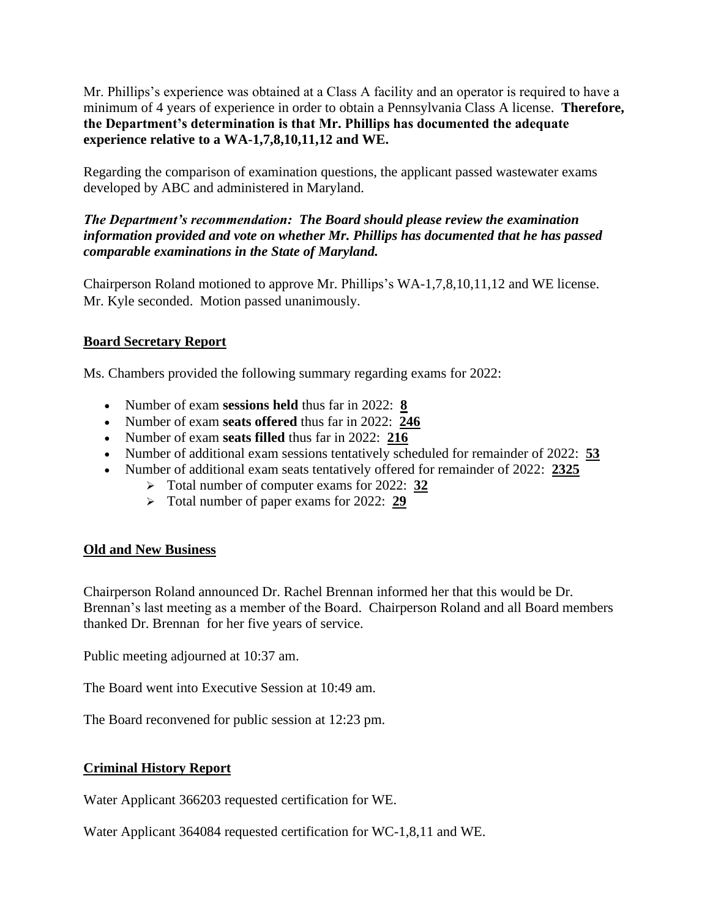Mr. Phillips's experience was obtained at a Class A facility and an operator is required to have a minimum of 4 years of experience in order to obtain a Pennsylvania Class A license. **Therefore, the Department's determination is that Mr. Phillips has documented the adequate experience relative to a WA-1,7,8,10,11,12 and WE.**

Regarding the comparison of examination questions, the applicant passed wastewater exams developed by ABC and administered in Maryland.

# *The Department's recommendation: The Board should please review the examination information provided and vote on whether Mr. Phillips has documented that he has passed comparable examinations in the State of Maryland.*

Chairperson Roland motioned to approve Mr. Phillips's WA-1,7,8,10,11,12 and WE license. Mr. Kyle seconded. Motion passed unanimously.

# **Board Secretary Report**

Ms. Chambers provided the following summary regarding exams for 2022:

- Number of exam **sessions held** thus far in 2022: **8**
- Number of exam **seats offered** thus far in 2022: **246**
- Number of exam **seats filled** thus far in 2022: **216**
- Number of additional exam sessions tentatively scheduled for remainder of 2022: **53**
- Number of additional exam seats tentatively offered for remainder of 2022: **2325**
	- ➢ Total number of computer exams for 2022: **32**
	- ➢ Total number of paper exams for 2022: **29**

# **Old and New Business**

Chairperson Roland announced Dr. Rachel Brennan informed her that this would be Dr. Brennan's last meeting as a member of the Board. Chairperson Roland and all Board members thanked Dr. Brennan for her five years of service.

Public meeting adjourned at 10:37 am.

The Board went into Executive Session at 10:49 am.

The Board reconvened for public session at 12:23 pm.

# **Criminal History Report**

Water Applicant 366203 requested certification for WE.

Water Applicant 364084 requested certification for WC-1,8,11 and WE.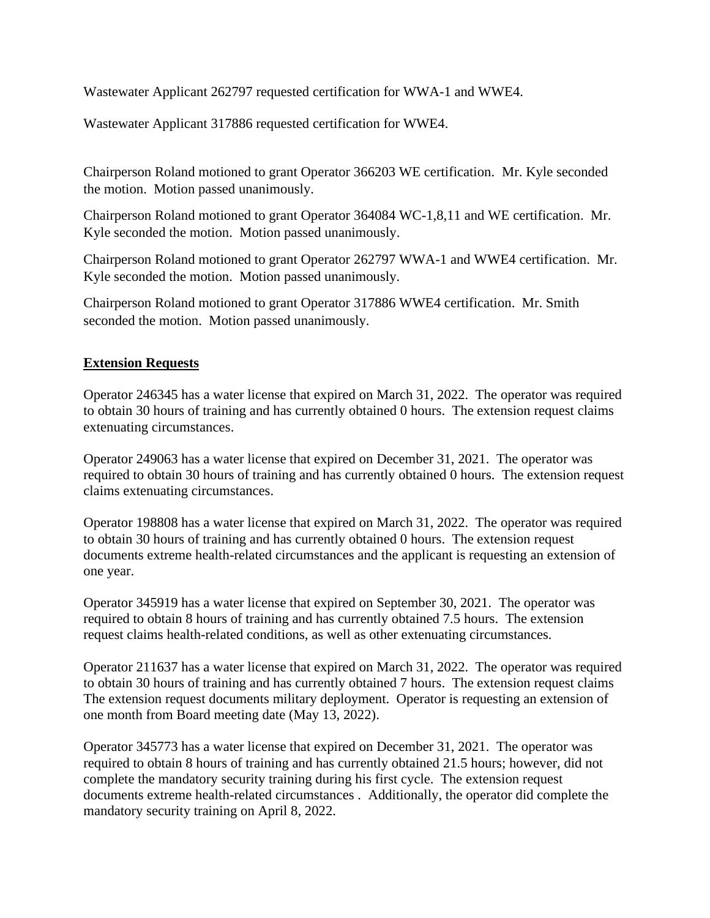Wastewater Applicant 262797 requested certification for WWA-1 and WWE4.

Wastewater Applicant 317886 requested certification for WWE4.

Chairperson Roland motioned to grant Operator 366203 WE certification. Mr. Kyle seconded the motion. Motion passed unanimously.

Chairperson Roland motioned to grant Operator 364084 WC-1,8,11 and WE certification. Mr. Kyle seconded the motion. Motion passed unanimously.

Chairperson Roland motioned to grant Operator 262797 WWA-1 and WWE4 certification. Mr. Kyle seconded the motion. Motion passed unanimously.

Chairperson Roland motioned to grant Operator 317886 WWE4 certification. Mr. Smith seconded the motion. Motion passed unanimously.

### **Extension Requests**

Operator 246345 has a water license that expired on March 31, 2022. The operator was required to obtain 30 hours of training and has currently obtained 0 hours. The extension request claims extenuating circumstances.

Operator 249063 has a water license that expired on December 31, 2021. The operator was required to obtain 30 hours of training and has currently obtained 0 hours. The extension request claims extenuating circumstances.

Operator 198808 has a water license that expired on March 31, 2022. The operator was required to obtain 30 hours of training and has currently obtained 0 hours. The extension request documents extreme health-related circumstances and the applicant is requesting an extension of one year.

Operator 345919 has a water license that expired on September 30, 2021. The operator was required to obtain 8 hours of training and has currently obtained 7.5 hours. The extension request claims health-related conditions, as well as other extenuating circumstances.

Operator 211637 has a water license that expired on March 31, 2022. The operator was required to obtain 30 hours of training and has currently obtained 7 hours. The extension request claims The extension request documents military deployment. Operator is requesting an extension of one month from Board meeting date (May 13, 2022).

Operator 345773 has a water license that expired on December 31, 2021. The operator was required to obtain 8 hours of training and has currently obtained 21.5 hours; however, did not complete the mandatory security training during his first cycle. The extension request documents extreme health-related circumstances . Additionally, the operator did complete the mandatory security training on April 8, 2022.